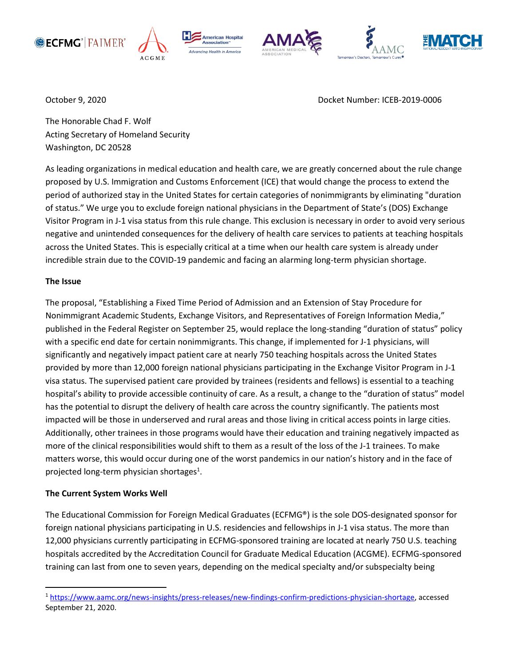



**American Hospital** Association<sup>®</sup> cing Health in America







October 9, 2020 Docket Number: ICEB-2019-0006

The Honorable Chad F. Wolf Acting Secretary of Homeland Security Washington, DC 20528

As leading organizations in medical education and health care, we are greatly concerned about the rule change proposed by U.S. Immigration and Customs Enforcement (ICE) that would change the process to extend the period of authorized stay in the United States for certain categories of nonimmigrants by eliminating "duration of status." We urge you to exclude foreign national physicians in the Department of State's (DOS) Exchange Visitor Program in J-1 visa status from this rule change. This exclusion is necessary in order to avoid very serious negative and unintended consequences for the delivery of health care services to patients at teaching hospitals across the United States. This is especially critical at a time when our health care system is already under incredible strain due to the COVID-19 pandemic and facing an alarming long-term physician shortage.

## **The Issue**

The proposal, "Establishing a Fixed Time Period of Admission and an Extension of Stay Procedure for Nonimmigrant Academic Students, Exchange Visitors, and Representatives of Foreign Information Media," published in the Federal Register on September 25, would replace the long-standing "duration of status" policy with a specific end date for certain nonimmigrants. This change, if implemented for J-1 physicians, will significantly and negatively impact patient care at nearly 750 teaching hospitals across the United States provided by more than 12,000 foreign national physicians participating in the Exchange Visitor Program in J-1 visa status. The supervised patient care provided by trainees (residents and fellows) is essential to a teaching hospital's ability to provide accessible continuity of care. As a result, a change to the "duration of status" model has the potential to disrupt the delivery of health care across the country significantly. The patients most impacted will be those in underserved and rural areas and those living in critical access points in large cities. Additionally, other trainees in those programs would have their education and training negatively impacted as more of the clinical responsibilities would shift to them as a result of the loss of the J-1 trainees. To make matters worse, this would occur during one of the worst pandemics in our nation's history and in the face of projected long-term physician shortages<sup>1</sup>.

# **The Current System Works Well**

The Educational Commission for Foreign Medical Graduates (ECFMG®) is the sole DOS-designated sponsor for foreign national physicians participating in U.S. residencies and fellowships in J-1 visa status. The more than 12,000 physicians currently participating in ECFMG-sponsored training are located at nearly 750 U.S. teaching hospitals accredited by the Accreditation Council for Graduate Medical Education (ACGME). ECFMG-sponsored training can last from one to seven years, depending on the medical specialty and/or subspecialty being

<sup>1</sup> [https://www.aamc.org/news-insights/press-releases/new-findings-confirm-predictions-physician-shortage,](https://www.aamc.org/news-insights/press-releases/new-findings-confirm-predictions-physician-shortage) accessed September 21, 2020.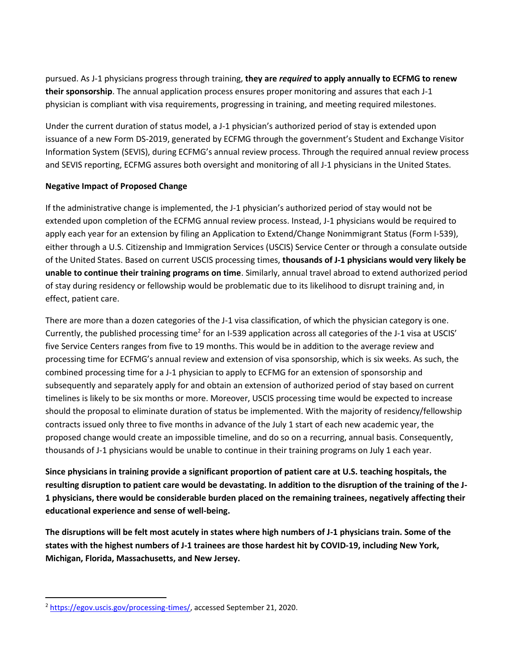pursued. As J-1 physicians progress through training, **they are** *required* **to apply annually to ECFMG to renew their sponsorship**. The annual application process ensures proper monitoring and assures that each J-1 physician is compliant with visa requirements, progressing in training, and meeting required milestones.

Under the current duration of status model, a J-1 physician's authorized period of stay is extended upon issuance of a new Form DS-2019, generated by ECFMG through the government's Student and Exchange Visitor Information System (SEVIS), during ECFMG's annual review process. Through the required annual review process and SEVIS reporting, ECFMG assures both oversight and monitoring of all J-1 physicians in the United States.

## **Negative Impact of Proposed Change**

If the administrative change is implemented, the J-1 physician's authorized period of stay would not be extended upon completion of the ECFMG annual review process. Instead, J-1 physicians would be required to apply each year for an extension by filing an Application to Extend/Change Nonimmigrant Status (Form I-539), either through a U.S. Citizenship and Immigration Services (USCIS) Service Center or through a consulate outside of the United States. Based on current USCIS processing times, **thousands of J-1 physicians would very likely be unable to continue their training programs on time**. Similarly, annual travel abroad to extend authorized period of stay during residency or fellowship would be problematic due to its likelihood to disrupt training and, in effect, patient care.

There are more than a dozen categories of the J-1 visa classification, of which the physician category is one. Currently, the published processing time<sup>2</sup> for an I-539 application across all categories of the J-1 visa at USCIS' five Service Centers ranges from five to 19 months. This would be in addition to the average review and processing time for ECFMG's annual review and extension of visa sponsorship, which is six weeks. As such, the combined processing time for a J-1 physician to apply to ECFMG for an extension of sponsorship and subsequently and separately apply for and obtain an extension of authorized period of stay based on current timelines is likely to be six months or more. Moreover, USCIS processing time would be expected to increase should the proposal to eliminate duration of status be implemented. With the majority of residency/fellowship contracts issued only three to five months in advance of the July 1 start of each new academic year, the proposed change would create an impossible timeline, and do so on a recurring, annual basis. Consequently, thousands of J-1 physicians would be unable to continue in their training programs on July 1 each year.

**Since physicians in training provide a significant proportion of patient care at U.S. teaching hospitals, the resulting disruption to patient care would be devastating. In addition to the disruption of the training of the J-1 physicians, there would be considerable burden placed on the remaining trainees, negatively affecting their educational experience and sense of well-being.**

**The disruptions will be felt most acutely in states where high numbers of J-1 physicians train. Some of the states with the highest numbers of J-1 trainees are those hardest hit by COVID-19, including New York, Michigan, Florida, Massachusetts, and New Jersey.**

 $\overline{a}$ 

<sup>&</sup>lt;sup>2</sup> [https://egov.uscis.gov/processing-times/,](https://egov.uscis.gov/processing-times/) accessed September 21, 2020.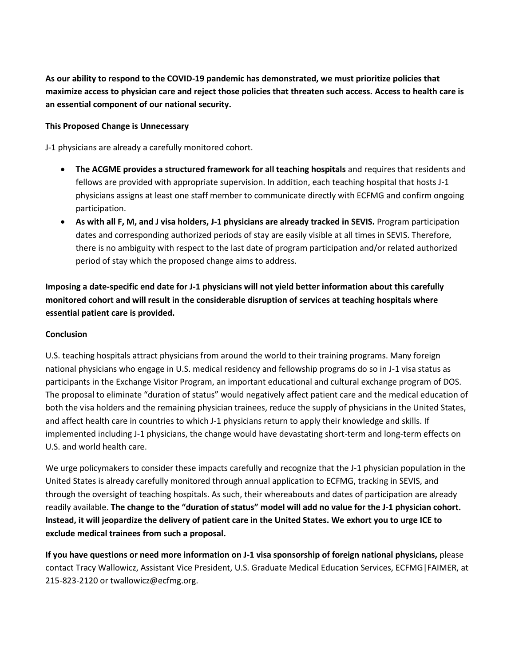**As our ability to respond to the COVID-19 pandemic has demonstrated, we must prioritize policies that maximize access to physician care and reject those policies that threaten such access. Access to health care is an essential component of our national security.**

## **This Proposed Change is Unnecessary**

J-1 physicians are already a carefully monitored cohort.

- **The ACGME provides a structured framework for all teaching hospitals** and requires that residents and fellows are provided with appropriate supervision. In addition, each teaching hospital that hosts J-1 physicians assigns at least one staff member to communicate directly with ECFMG and confirm ongoing participation.
- **As with all F, M, and J visa holders, J-1 physicians are already tracked in SEVIS.** Program participation dates and corresponding authorized periods of stay are easily visible at all times in SEVIS. Therefore, there is no ambiguity with respect to the last date of program participation and/or related authorized period of stay which the proposed change aims to address.

**Imposing a date-specific end date for J-1 physicians will not yield better information about this carefully monitored cohort and will result in the considerable disruption of services at teaching hospitals where essential patient care is provided.** 

### **Conclusion**

U.S. teaching hospitals attract physicians from around the world to their training programs. Many foreign national physicians who engage in U.S. medical residency and fellowship programs do so in J-1 visa status as participants in the Exchange Visitor Program, an important educational and cultural exchange program of DOS. The proposal to eliminate "duration of status" would negatively affect patient care and the medical education of both the visa holders and the remaining physician trainees, reduce the supply of physicians in the United States, and affect health care in countries to which J-1 physicians return to apply their knowledge and skills. If implemented including J-1 physicians, the change would have devastating short-term and long-term effects on U.S. and world health care.

We urge policymakers to consider these impacts carefully and recognize that the J-1 physician population in the United States is already carefully monitored through annual application to ECFMG, tracking in SEVIS, and through the oversight of teaching hospitals. As such, their whereabouts and dates of participation are already readily available. **The change to the "duration of status" model will add no value for the J-1 physician cohort. Instead, it will jeopardize the delivery of patient care in the United States. We exhort you to urge ICE to exclude medical trainees from such a proposal.** 

**If you have questions or need more information on J-1 visa sponsorship of foreign national physicians,** please contact Tracy Wallowicz, Assistant Vice President, U.S. Graduate Medical Education Services, ECFMG|FAIMER, at 215-823-2120 or twallowicz@ecfmg.org.